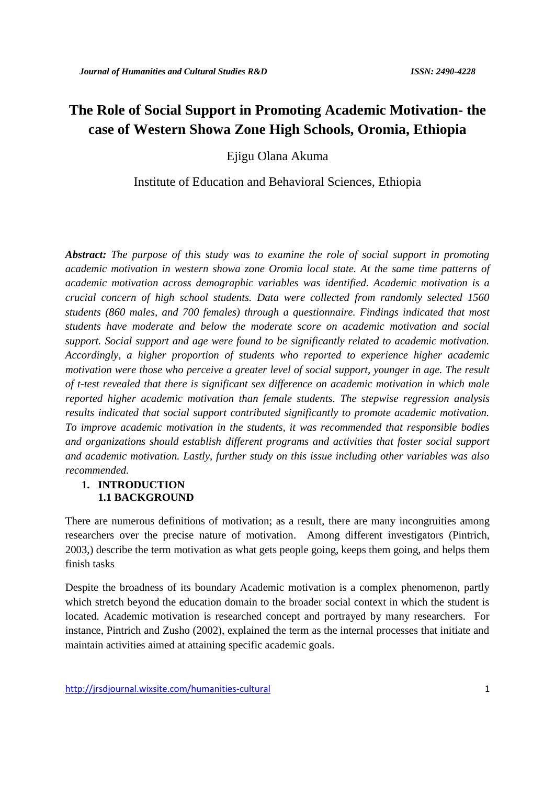# **The Role of Social Support in Promoting Academic Motivation- the case of Western Showa Zone High Schools, Oromia, Ethiopia**

Ejigu Olana Akuma

Institute of Education and Behavioral Sciences, Ethiopia

*Abstract: The purpose of this study was to examine the role of social support in promoting academic motivation in western showa zone Oromia local state. At the same time patterns of academic motivation across demographic variables was identified. Academic motivation is a crucial concern of high school students. Data were collected from randomly selected 1560 students (860 males, and 700 females) through a questionnaire. Findings indicated that most students have moderate and below the moderate score on academic motivation and social support. Social support and age were found to be significantly related to academic motivation. Accordingly, a higher proportion of students who reported to experience higher academic motivation were those who perceive a greater level of social support, younger in age. The result of t-test revealed that there is significant sex difference on academic motivation in which male reported higher academic motivation than female students. The stepwise regression analysis results indicated that social support contributed significantly to promote academic motivation. To improve academic motivation in the students, it was recommended that responsible bodies and organizations should establish different programs and activities that foster social support and academic motivation. Lastly, further study on this issue including other variables was also recommended.*

# **1. INTRODUCTION 1.1 BACKGROUND**

There are numerous definitions of motivation; as a result, there are many incongruities among researchers over the precise nature of motivation. Among different investigators (Pintrich, 2003,) describe the term motivation as what gets people going, keeps them going, and helps them finish tasks

Despite the broadness of its boundary Academic motivation is a complex phenomenon, partly which stretch beyond the education domain to the broader social context in which the student is located. Academic motivation is researched concept and portrayed by many researchers. For instance, Pintrich and Zusho (2002), explained the term as the internal processes that initiate and maintain activities aimed at attaining specific academic goals.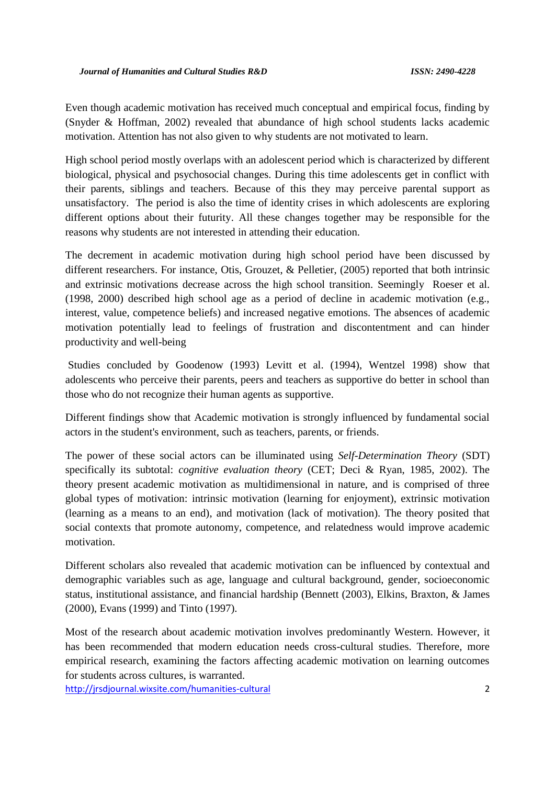Even though academic motivation has received much conceptual and empirical focus, finding by (Snyder & Hoffman, 2002) revealed that abundance of high school students lacks academic motivation. Attention has not also given to why students are not motivated to learn.

High school period mostly overlaps with an adolescent period which is characterized by different biological, physical and psychosocial changes. During this time adolescents get in conflict with their parents, siblings and teachers. Because of this they may perceive parental support as unsatisfactory. The period is also the time of identity crises in which adolescents are exploring different options about their futurity. All these changes together may be responsible for the reasons why students are not interested in attending their education.

The decrement in academic motivation during high school period have been discussed by different researchers. For instance, Otis, Grouzet, & Pelletier, (2005) reported that both intrinsic and extrinsic motivations decrease across the high school transition. Seemingly Roeser et al. (1998, 2000) described high school age as a period of decline in academic motivation (e.g., interest, value, competence beliefs) and increased negative emotions. The absences of academic motivation potentially lead to feelings of frustration and discontentment and can hinder productivity and well-being

Studies concluded by Goodenow (1993) Levitt et al. (1994), Wentzel 1998) show that adolescents who perceive their parents, peers and teachers as supportive do better in school than those who do not recognize their human agents as supportive.

Different findings show that Academic motivation is strongly influenced by fundamental social actors in the student's environment, such as teachers, parents, or friends.

The power of these social actors can be illuminated using *Self-Determination Theory* (SDT) specifically its subtotal: *cognitive evaluation theory* (CET; Deci & Ryan, 1985, 2002). The theory present academic motivation as multidimensional in nature, and is comprised of three global types of motivation: intrinsic motivation (learning for enjoyment), extrinsic motivation (learning as a means to an end), and motivation (lack of motivation). The theory posited that social contexts that promote autonomy, competence, and relatedness would improve academic motivation.

Different scholars also revealed that academic motivation can be influenced by contextual and demographic variables such as age, language and cultural background, gender, socioeconomic status, institutional assistance, and financial hardship (Bennett (2003), Elkins, Braxton, & James (2000), Evans (1999) and Tinto (1997).

Most of the research about academic motivation involves predominantly Western. However, it has been recommended that modern education needs cross-cultural studies. Therefore, more empirical research, examining the factors affecting academic motivation on learning outcomes for students across cultures, is warranted.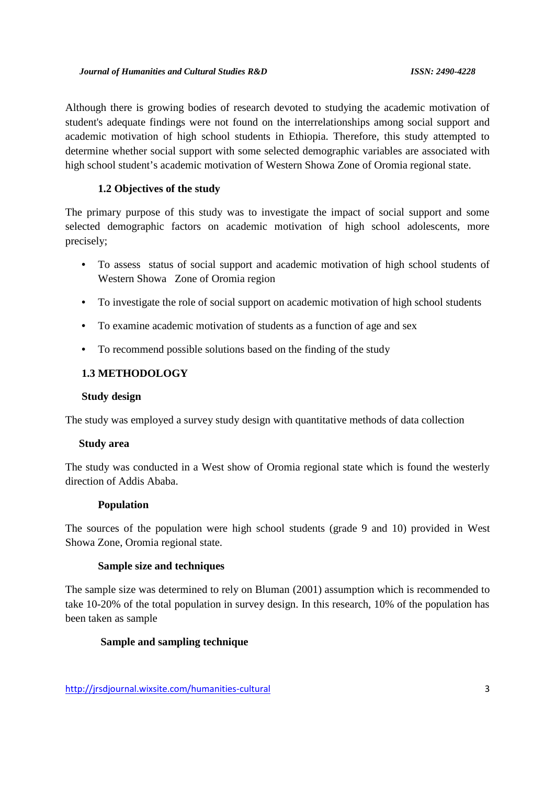Although there is growing bodies of research devoted to studying the academic motivation of student's adequate findings were not found on the interrelationships among social support and academic motivation of high school students in Ethiopia. Therefore, this study attempted to determine whether social support with some selected demographic variables are associated with high school student's academic motivation of Western Showa Zone of Oromia regional state.

## **1.2 Objectives of the study**

The primary purpose of this study was to investigate the impact of social support and some selected demographic factors on academic motivation of high school adolescents, more precisely;

- To assess status of social support and academic motivation of high school students of Western Showa Zone of Oromia region
- To investigate the role of social support on academic motivation of high school students
- To examine academic motivation of students as a function of age and sex
- To recommend possible solutions based on the finding of the study

## **1.3 METHODOLOGY**

#### **Study design**

The study was employed a survey study design with quantitative methods of data collection

## **Study area**

The study was conducted in a West show of Oromia regional state which is found the westerly direction of Addis Ababa.

## **Population**

The sources of the population were high school students (grade 9 and 10) provided in West Showa Zone, Oromia regional state.

## **Sample size and techniques**

The sample size was determined to rely on Bluman (2001) assumption which is recommended to take 10-20% of the total population in survey design. In this research, 10% of the population has been taken as sample

## **Sample and sampling technique**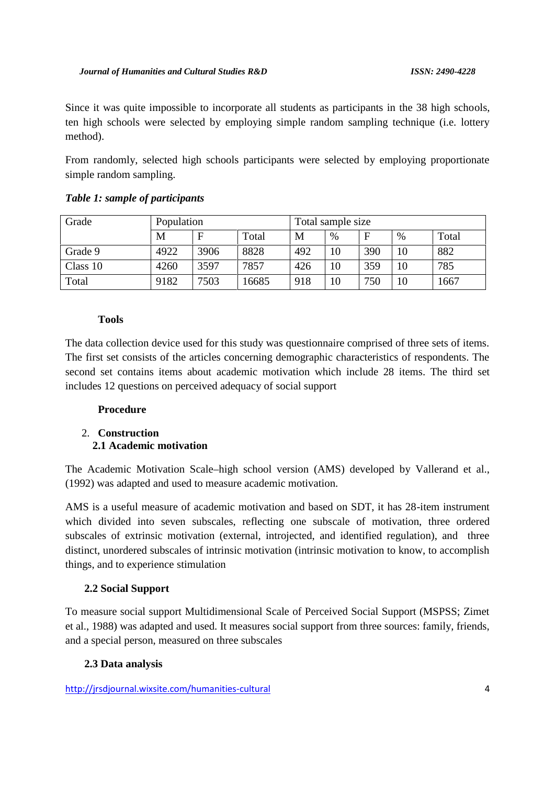Since it was quite impossible to incorporate all students as participants in the 38 high schools, ten high schools were selected by employing simple random sampling technique (i.e. lottery method).

From randomly, selected high schools participants were selected by employing proportionate simple random sampling.

| Grade    | Population |      |       | Total sample size |      |     |    |       |
|----------|------------|------|-------|-------------------|------|-----|----|-------|
|          | M          | F    | Total | M                 | $\%$ | F   | %  | Total |
| Grade 9  | 4922       | 3906 | 8828  | 492               | 10   | 390 | 10 | 882   |
| Class 10 | 4260       | 3597 | 7857  | 426               | 10   | 359 | 10 | 785   |
| Total    | 9182       | 7503 | 16685 | 918               | 10   | 750 | 10 | 667   |

## *Table 1: sample of participants*

#### **Tools**

The data collection device used for this study was questionnaire comprised of three sets of items. The first set consists of the articles concerning demographic characteristics of respondents. The second set contains items about academic motivation which include 28 items. The third set includes 12 questions on perceived adequacy of social support

## **Procedure**

## 2. **Construction 2.1 Academic motivation**

The Academic Motivation Scale–high school version (AMS) developed by Vallerand et al., (1992) was adapted and used to measure academic motivation.

AMS is a useful measure of academic motivation and based on SDT, it has 28-item instrument which divided into seven subscales, reflecting one subscale of motivation, three ordered subscales of extrinsic motivation (external, introjected, and identified regulation), and three distinct, unordered subscales of intrinsic motivation (intrinsic motivation to know, to accomplish things, and to experience stimulation

## **2.2 Social Support**

To measure social support Multidimensional Scale of Perceived Social Support (MSPSS; Zimet et al., 1988) was adapted and used. It measures social support from three sources: family, friends, and a special person, measured on three subscales

## **2.3 Data analysis**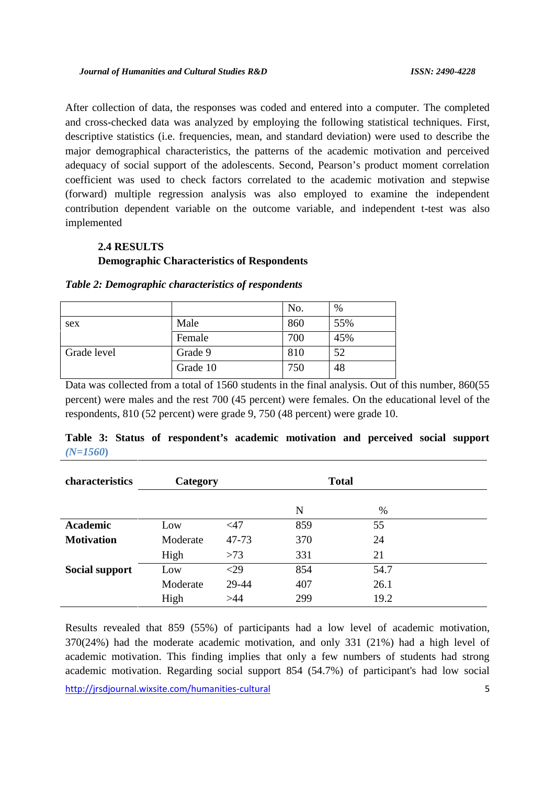After collection of data, the responses was coded and entered into a computer. The completed and cross-checked data was analyzed by employing the following statistical techniques. First, descriptive statistics (i.e. frequencies, mean, and standard deviation) were used to describe the major demographical characteristics, the patterns of the academic motivation and perceived adequacy of social support of the adolescents. Second, Pearson's product moment correlation coefficient was used to check factors correlated to the academic motivation and stepwise (forward) multiple regression analysis was also employed to examine the independent contribution dependent variable on the outcome variable, and independent t-test was also implemented

# **2.4 RESULTS Demographic Characteristics of Respondents**

|             |          | No. | $\%$ |
|-------------|----------|-----|------|
| sex         | Male     | 860 | 55%  |
|             | Female   | 700 | 45%  |
| Grade level | Grade 9  | 810 | 52   |
|             | Grade 10 | 750 | 48   |

| Table 2: Demographic characteristics of respondents |  |
|-----------------------------------------------------|--|
|-----------------------------------------------------|--|

Data was collected from a total of 1560 students in the final analysis. Out of this number, 860(55 percent) were males and the rest 700 (45 percent) were females. On the educational level of the respondents, 810 (52 percent) were grade 9, 750 (48 percent) were grade 10.

|            |  | Table 3: Status of respondent's academic motivation and perceived social support |  |  |  |  |
|------------|--|----------------------------------------------------------------------------------|--|--|--|--|
| $(N=1560)$ |  |                                                                                  |  |  |  |  |

| characteristics       | Category |        | <b>Total</b> |      |  |
|-----------------------|----------|--------|--------------|------|--|
|                       |          |        | N            | %    |  |
| <b>Academic</b>       | Low      | $<$ 47 | 859          | 55   |  |
| <b>Motivation</b>     | Moderate | 47-73  | 370          | 24   |  |
|                       | High     | >73    | 331          | 21   |  |
| <b>Social support</b> | Low      | $<$ 29 | 854          | 54.7 |  |
|                       | Moderate | 29-44  | 407          | 26.1 |  |
|                       | High     | >44    | 299          | 19.2 |  |

http://jrsdjournal.wixsite.com/humanities-cultural 5 Results revealed that 859 (55%) of participants had a low level of academic motivation, 370(24%) had the moderate academic motivation, and only 331 (21%) had a high level of academic motivation. This finding implies that only a few numbers of students had strong academic motivation. Regarding social support 854 (54.7%) of participant's had low social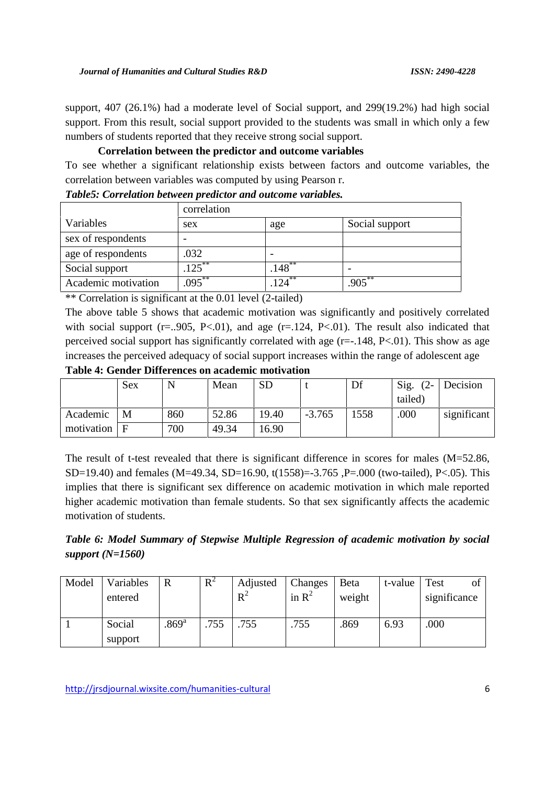support, 407 (26.1%) had a moderate level of Social support, and 299(19.2%) had high social support. From this result, social support provided to the students was small in which only a few numbers of students reported that they receive strong social support.

## **Correlation between the predictor and outcome variables**

To see whether a significant relationship exists between factors and outcome variables, the correlation between variables was computed by using Pearson r.

|                     | correlation |                       |                |
|---------------------|-------------|-----------------------|----------------|
| Variables           | sex         | age                   | Social support |
| sex of respondents  |             |                       |                |
| age of respondents  | .032        |                       |                |
| Social support      | $.125***$   | $.148***$             |                |
| Academic motivation | $095***$    | $12\overline{A}^{**}$ | $905***$       |

| Table5: Correlation between predictor and outcome variables. |  |  |  |  |
|--------------------------------------------------------------|--|--|--|--|
|--------------------------------------------------------------|--|--|--|--|

\*\* Correlation is significant at the 0.01 level (2-tailed)

The above table 5 shows that academic motivation was significantly and positively correlated with social support ( $r = .905$ ,  $P < .01$ ), and age ( $r = .124$ ,  $P < .01$ ). The result also indicated that perceived social support has significantly correlated with age (r=-.148, P<.01). This show as age increases the perceived adequacy of social support increases within the range of adolescent age

**Table 4: Gender Differences on academic motivation**

|            | Sex |     | Mean  | <b>SD</b> |          | Df   | Sig.<br>$(2 -$ | Decision    |
|------------|-----|-----|-------|-----------|----------|------|----------------|-------------|
|            |     |     |       |           |          |      | tailed)        |             |
| Academic   | M   | 860 | 52.86 | 19.40     | $-3.765$ | 1558 | .000           | significant |
| motivation | E   | 700 | 49.34 | 6.90      |          |      |                |             |

The result of t-test revealed that there is significant difference in scores for males (M=52.86, SD=19.40) and females (M=49.34, SD=16.90, t(1558)=-3.765 ,P=.000 (two-tailed), P<.05). This implies that there is significant sex difference on academic motivation in which male reported higher academic motivation than female students. So that sex significantly affects the academic motivation of students.

*Table 6: Model Summary of Stepwise Multiple Regression of academic motivation by social support (N=1560)*

| Model | Variables | R                   | $R^2$ | Adjusted | Changes  | Beta   | t-value | Test<br><sub>of</sub> |
|-------|-----------|---------------------|-------|----------|----------|--------|---------|-----------------------|
|       | entered   |                     |       | $R^2$    | in $R^2$ | weight |         | significance          |
|       |           |                     |       |          |          |        |         |                       |
|       | Social    | $.869$ <sup>a</sup> | .755  | .755     | .755     | .869   | 6.93    | .000                  |
|       | support   |                     |       |          |          |        |         |                       |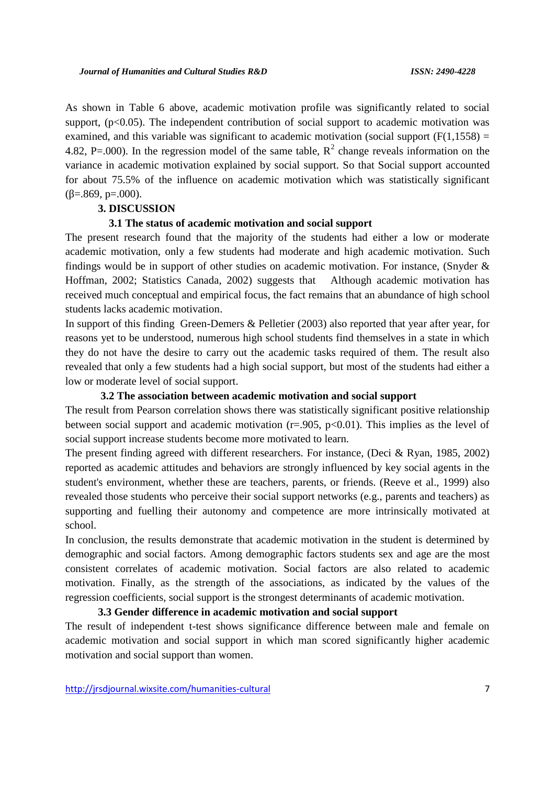As shown in Table 6 above, academic motivation profile was significantly related to social support,  $(p<0.05)$ . The independent contribution of social support to academic motivation was examined, and this variable was significant to academic motivation (social support  $(F(1,1558)) =$ 4.82, P=.000). In the regression model of the same table,  $R^2$  change reveals information on the variance in academic motivation explained by social support. So that Social support accounted for about 75.5% of the influence on academic motivation which was statistically significant  $( =.869, p=.000).$ 

#### **3. DISCUSSION**

#### **3.1 The status of academic motivation and social support**

The present research found that the majority of the students had either a low or moderate academic motivation, only a few students had moderate and high academic motivation. Such findings would be in support of other studies on academic motivation. For instance, (Snyder & Hoffman, 2002; Statistics Canada, 2002) suggests that Although academic motivation has received much conceptual and empirical focus, the fact remains that an abundance of high school students lacks academic motivation.

In support of this finding Green-Demers & Pelletier (2003) also reported that year after year, for reasons yet to be understood, numerous high school students find themselves in a state in which they do not have the desire to carry out the academic tasks required of them. The result also revealed that only a few students had a high social support, but most of the students had either a low or moderate level of social support.

#### **3.2 The association between academic motivation and social support**

The result from Pearson correlation shows there was statistically significant positive relationship between social support and academic motivation ( $r = .905$ ,  $p < 0.01$ ). This implies as the level of social support increase students become more motivated to learn.

The present finding agreed with different researchers. For instance, (Deci & Ryan, 1985, 2002) reported as academic attitudes and behaviors are strongly influenced by key social agents in the student's environment, whether these are teachers, parents, or friends. (Reeve et al., 1999) also revealed those students who perceive their social support networks (e.g., parents and teachers) as supporting and fuelling their autonomy and competence are more intrinsically motivated at school.

In conclusion, the results demonstrate that academic motivation in the student is determined by demographic and social factors. Among demographic factors students sex and age are the most consistent correlates of academic motivation. Social factors are also related to academic motivation. Finally, as the strength of the associations, as indicated by the values of the regression coefficients, social support is the strongest determinants of academic motivation.

# **3.3 Gender difference in academic motivation and social support**

The result of independent t-test shows significance difference between male and female on academic motivation and social support in which man scored significantly higher academic motivation and social support than women.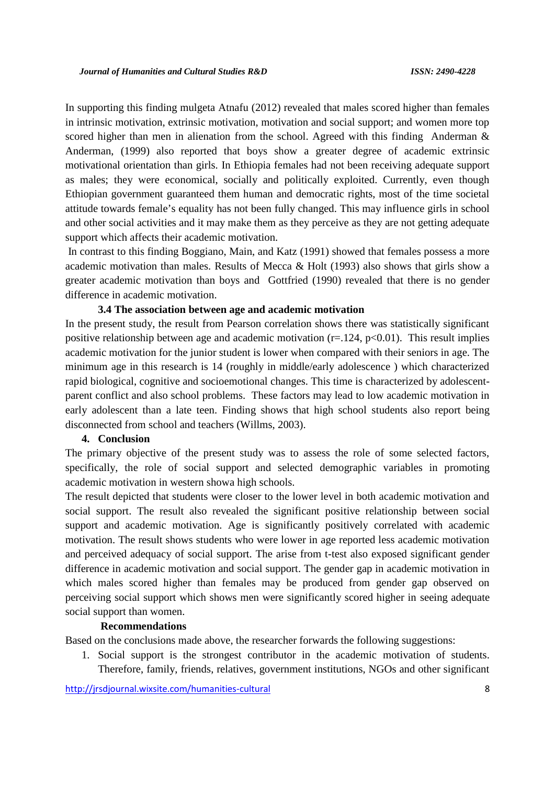In supporting this finding mulgeta Atnafu (2012) revealed that males scored higher than females in intrinsic motivation, extrinsic motivation, motivation and social support; and women more top scored higher than men in alienation from the school. Agreed with this finding Anderman & Anderman, (1999) also reported that boys show a greater degree of academic extrinsic motivational orientation than girls. In Ethiopia females had not been receiving adequate support as males; they were economical, socially and politically exploited. Currently, even though Ethiopian government guaranteed them human and democratic rights, most of the time societal attitude towards female's equality has not been fully changed. This may influence girls in school and other social activities and it may make them as they perceive as they are not getting adequate support which affects their academic motivation.

In contrast to this finding Boggiano, Main, and Katz (1991) showed that females possess a more academic motivation than males. Results of Mecca & Holt (1993) also shows that girls show a greater academic motivation than boys and Gottfried (1990) revealed that there is no gender difference in academic motivation.

#### **3.4 The association between age and academic motivation**

In the present study, the result from Pearson correlation shows there was statistically significant positive relationship between age and academic motivation  $(r=.124, p<0.01)$ . This result implies academic motivation for the junior student is lower when compared with their seniors in age. The minimum age in this research is 14 (roughly in middle/early adolescence ) which characterized rapid biological, cognitive and socioemotional changes. This time is characterized by adolescent parent conflict and also school problems. These factors may lead to low academic motivation in early adolescent than a late teen. Finding shows that high school students also report being disconnected from school and teachers (Willms, 2003).

#### **4. Conclusion**

The primary objective of the present study was to assess the role of some selected factors, specifically, the role of social support and selected demographic variables in promoting academic motivation in western showa high schools.

The result depicted that students were closer to the lower level in both academic motivation and social support. The result also revealed the significant positive relationship between social support and academic motivation. Age is significantly positively correlated with academic motivation. The result shows students who were lower in age reported less academic motivation and perceived adequacy of social support. The arise from t-test also exposed significant gender difference in academic motivation and social support. The gender gap in academic motivation in which males scored higher than females may be produced from gender gap observed on perceiving social support which shows men were significantly scored higher in seeing adequate social support than women.

#### **Recommendations**

Based on the conclusions made above, the researcher forwards the following suggestions:

1. Social support is the strongest contributor in the academic motivation of students. Therefore, family, friends, relatives, government institutions, NGOs and other significant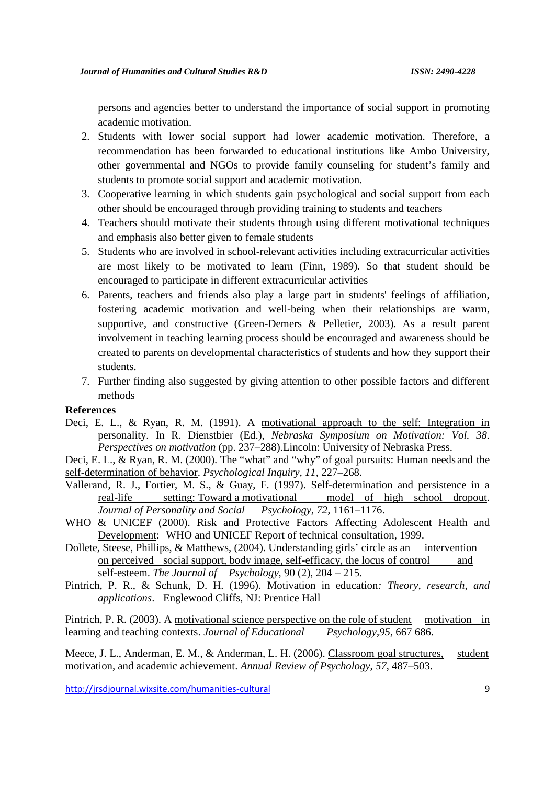persons and agencies better to understand the importance of social support in promoting academic motivation.

- 2. Students with lower social support had lower academic motivation. Therefore, a recommendation has been forwarded to educational institutions like Ambo University, other governmental and NGOs to provide family counseling for student's family and students to promote social support and academic motivation.
- 3. Cooperative learning in which students gain psychological and social support from each other should be encouraged through providing training to students and teachers
- 4. Teachers should motivate their students through using different motivational techniques and emphasis also better given to female students
- 5. Students who are involved in school-relevant activities including extracurricular activities are most likely to be motivated to learn (Finn, 1989). So that student should be encouraged to participate in different extracurricular activities
- 6. Parents, teachers and friends also play a large part in students' feelings of affiliation, fostering academic motivation and well-being when their relationships are warm, supportive, and constructive (Green-Demers & Pelletier, 2003). As a result parent involvement in teaching learning process should be encouraged and awareness should be created to parents on developmental characteristics of students and how they support their students.
- 7. Further finding also suggested by giving attention to other possible factors and different methods

#### **References**

- Deci, E. L., & Ryan, R. M. (1991). A motivational approach to the self: Integration in personality. In R. Dienstbier (Ed.), *Nebraska Symposium on Motivation: Vol. 38. Perspectives on motivation* (pp. 237–288).Lincoln: University of Nebraska Press.
- Deci, E. L., & Ryan, R. M. (2000). The "what" and "why" of goal pursuits: Human needs and the self-determination of behavior. *Psychological Inquiry, 11,* 227–268.
- Vallerand, R. J., Fortier, M. S., & Guay, F. (1997). Self-determination and persistence in a real-life setting: Toward a motivational model of high school dropout. *Journal of Personality and Social Psychology, 72,* 1161–1176.
- WHO & UNICEF (2000). Risk and Protective Factors Affecting Adolescent Health and Development: WHO and UNICEF Report of technical consultation, 1999.
- Dollete, Steese, Phillips, & Matthews, (2004). Understanding girls' circle as an intervention on perceived social support, body image, self-efficacy, the locus of control and self-esteem. *The Journal of Psychology,* 90 (2), 204 – 215.
- Pintrich, P. R., & Schunk, D. H. (1996). Motivation in education*: Theory, research, and applications*. Englewood Cliffs, NJ: Prentice Hall

Pintrich, P. R. (2003). A motivational science perspective on the role of student motivation in learning and teaching contexts. *Journal of Educational Psychology*,*95*, 667 686.

Meece, J. L., Anderman, E. M., & Anderman, L. H. (2006). Classroom goal structures, student motivation, and academic achievement. *Annual Review of Psychology*, *57*, 487–503.